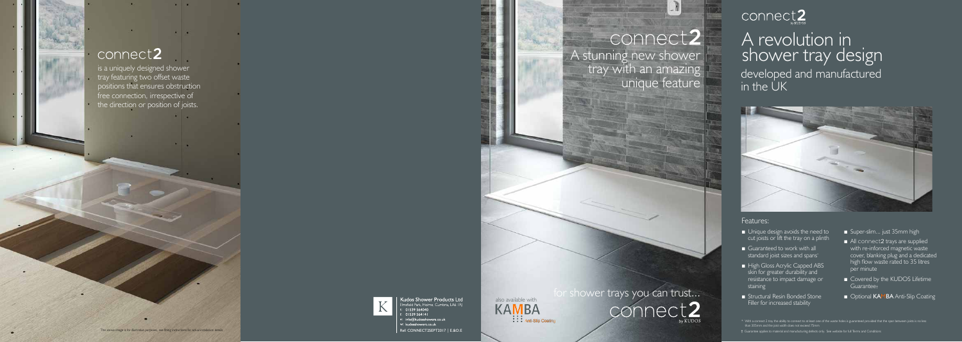## connect2

is a uniquely designed shower tray featuring two offset waste

**Service** 

 $\bullet$   $\bullet$ 

**Common** 

positions that ensures obstruction free connection, irrespective of the direction or position of joists.

The above image is for illustrative purposes, see fitting instructions for actual installation details



Kudos Shower Products Ltd

-<br>field Park. Holme. Cumbria. LA6 I RI

- 01539 564040  $01539564141$
- info@kudosshowers.co.uk
- w: kudosshowers.co.uk

Ref: CONNECT2SEPT2017 | E.&O.E





# connect2

# A revolution in shower tray design

A stunning new shower tray with an amazing unique feature





- Unique design avoids the need to cut joists or lift the tray on a plinth
- Guaranteed to work with all standard joist sizes and spans\*
- High Gloss Acrylic Capped ABS skin for greater durability and resistance to impact damage or staining
- Structural Resin Bonded Stone Filler for increased stability
- Super-slim... just 35mm high
- All connect2 trays are supplied with re-inforced magnetic waste cover, blanking plug and a dedicated high flow waste rated to 35 litres per minute
- Covered by the KUDOS Lifetime Guarantee†
- Optional KAMBA Anti-Slip Coating

### Features:

† Guarantee applies to material and manufacturing defects only. See website for full Terms and Conditions

developed and manufactured in the UK



<sup>\*</sup> With a connect 2 tray the ability to connect to at least one of the waste holes is guaranteed provided that the span between joists is no less than 305mm and the joist width does not exceed 75mm